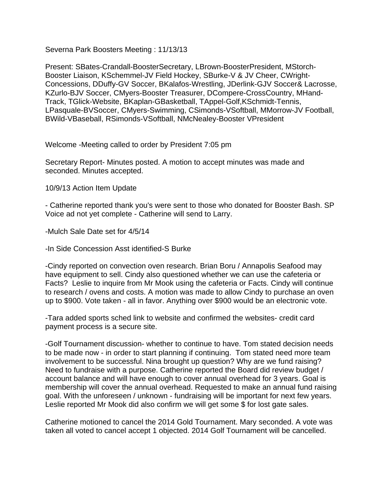Severna Park Boosters Meeting : 11/13/13

Present: SBates-Crandall-BoosterSecretary, LBrown-BoosterPresident, MStorch-Booster Liaison, KSchemmel-JV Field Hockey, SBurke-V & JV Cheer, CWright-Concessions, DDuffy-GV Soccer, BKalafos-Wrestling, JDerlink-GJV Soccer& Lacrosse, KZurlo-BJV Soccer, CMyers-Booster Treasurer, DCompere-CrossCountry, MHand-Track, TGlick-Website, BKaplan-GBasketball, TAppel-Golf,KSchmidt-Tennis, LPasquale-BVSoccer, CMyers-Swimming, CSimonds-VSoftball, MMorrow-JV Football, BWild-VBaseball, RSimonds-VSoftball, NMcNealey-Booster VPresident

Welcome -Meeting called to order by President 7:05 pm

Secretary Report- Minutes posted. A motion to accept minutes was made and seconded. Minutes accepted.

10/9/13 Action Item Update

- Catherine reported thank you's were sent to those who donated for Booster Bash. SP Voice ad not yet complete - Catherine will send to Larry.

-Mulch Sale Date set for 4/5/14

-In Side Concession Asst identified-S Burke

-Cindy reported on convection oven research. Brian Boru / Annapolis Seafood may have equipment to sell. Cindy also questioned whether we can use the cafeteria or Facts? Leslie to inquire from Mr Mook using the cafeteria or Facts. Cindy will continue to research / ovens and costs. A motion was made to allow Cindy to purchase an oven up to \$900. Vote taken - all in favor. Anything over \$900 would be an electronic vote.

-Tara added sports sched link to website and confirmed the websites- credit card payment process is a secure site.

-Golf Tournament discussion- whether to continue to have. Tom stated decision needs to be made now - in order to start planning if continuing. Tom stated need more team involvement to be successful. Nina brought up question? Why are we fund raising? Need to fundraise with a purpose. Catherine reported the Board did review budget / account balance and will have enough to cover annual overhead for 3 years. Goal is membership will cover the annual overhead. Requested to make an annual fund raising goal. With the unforeseen / unknown - fundraising will be important for next few years. Leslie reported Mr Mook did also confirm we will get some \$ for lost gate sales.

Catherine motioned to cancel the 2014 Gold Tournament. Mary seconded. A vote was taken all voted to cancel accept 1 objected. 2014 Golf Tournament will be cancelled.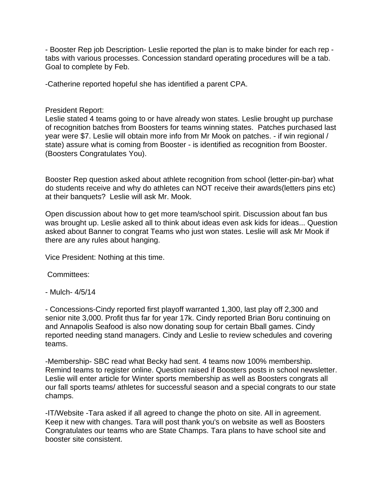- Booster Rep job Description- Leslie reported the plan is to make binder for each rep tabs with various processes. Concession standard operating procedures will be a tab. Goal to complete by Feb.

-Catherine reported hopeful she has identified a parent CPA.

President Report:

Leslie stated 4 teams going to or have already won states. Leslie brought up purchase of recognition batches from Boosters for teams winning states. Patches purchased last year were \$7. Leslie will obtain more info from Mr Mook on patches. - if win regional / state) assure what is coming from Booster - is identified as recognition from Booster. (Boosters Congratulates You).

Booster Rep question asked about athlete recognition from school (letter-pin-bar) what do students receive and why do athletes can NOT receive their awards(letters pins etc) at their banquets? Leslie will ask Mr. Mook.

Open discussion about how to get more team/school spirit. Discussion about fan bus was brought up. Leslie asked all to think about ideas even ask kids for ideas... Question asked about Banner to congrat Teams who just won states. Leslie will ask Mr Mook if there are any rules about hanging.

Vice President: Nothing at this time.

Committees:

- Mulch- 4/5/14

- Concessions-Cindy reported first playoff warranted 1,300, last play off 2,300 and senior nite 3,000. Profit thus far for year 17k. Cindy reported Brian Boru continuing on and Annapolis Seafood is also now donating soup for certain Bball games. Cindy reported needing stand managers. Cindy and Leslie to review schedules and covering teams.

-Membership- SBC read what Becky had sent. 4 teams now 100% membership. Remind teams to register online. Question raised if Boosters posts in school newsletter. Leslie will enter article for Winter sports membership as well as Boosters congrats all our fall sports teams/ athletes for successful season and a special congrats to our state champs.

-IT/Website -Tara asked if all agreed to change the photo on site. All in agreement. Keep it new with changes. Tara will post thank you's on website as well as Boosters Congratulates our teams who are State Champs. Tara plans to have school site and booster site consistent.